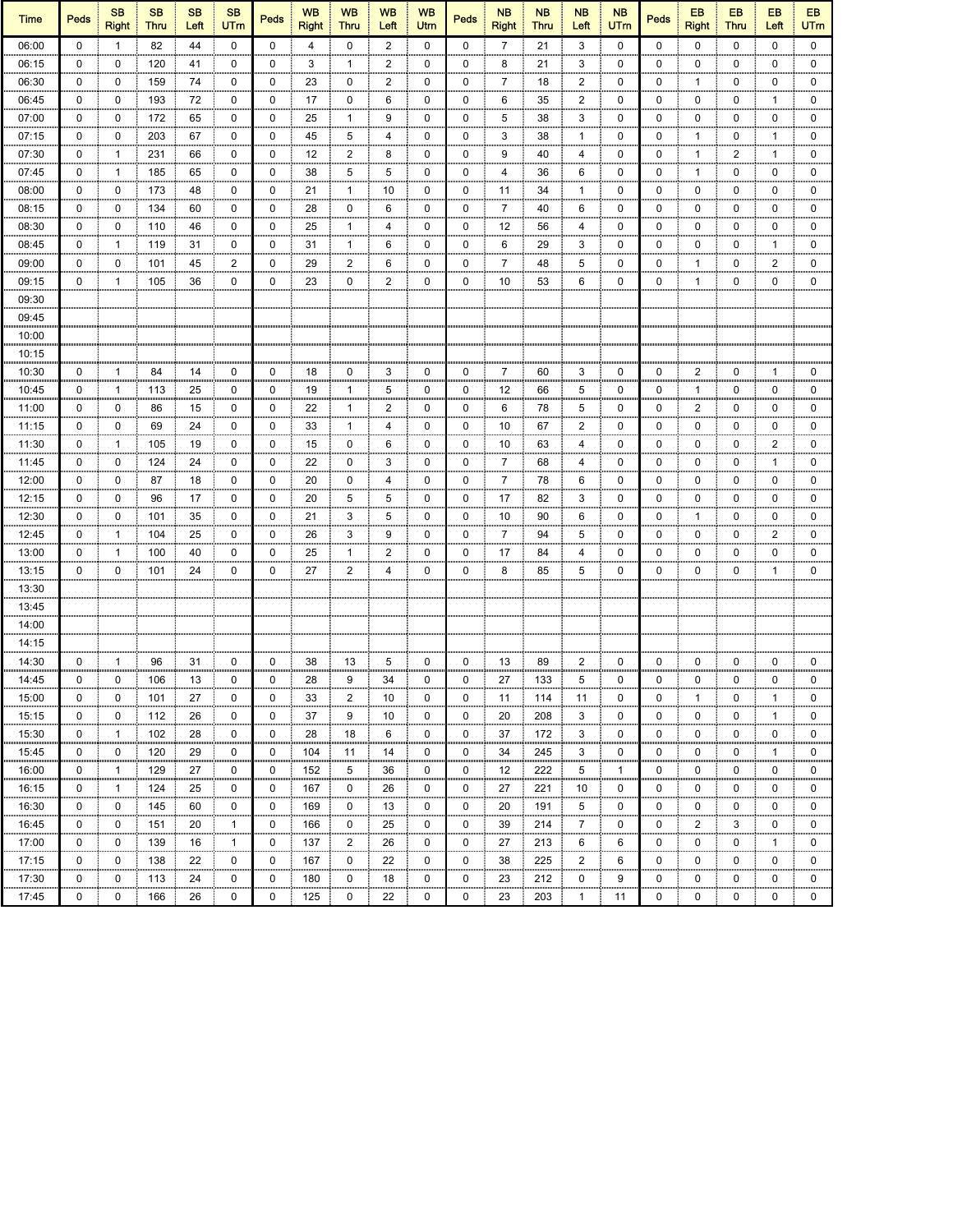| <b>Time</b>               | <b>Peds</b> | <b>SB</b><br><b>Right</b> | <b>SB</b><br><b>Thru</b> | <b>SB</b><br>Left | <b>SB</b><br><b>UTm</b> | <b>Peds</b> | <b>WB</b><br><b>Right</b> | <b>WB</b><br><b>Thru</b> | <b>WB</b><br>Left        | <b>WB</b><br>Utm | Peds        | <b>NB</b><br><b>Right</b> | <b>NB</b><br><b>Thru</b> | <b>NB</b><br>Left    | <b>NB</b><br><b>UTm</b> | Peds        | EB<br><b>Right</b> | EB<br><b>Thru</b> | EB<br>Left           | EB<br><b>UTm</b> |
|---------------------------|-------------|---------------------------|--------------------------|-------------------|-------------------------|-------------|---------------------------|--------------------------|--------------------------|------------------|-------------|---------------------------|--------------------------|----------------------|-------------------------|-------------|--------------------|-------------------|----------------------|------------------|
| 06:00                     | $\mathbf 0$ | $\mathbf{1}$              | 82                       | 44                | $\mathbf 0$             | $\mathbf 0$ | $\overline{4}$            | 0                        | $\overline{2}$           | $\mathbf 0$      | 0           | $\overline{7}$            | 21                       | 3                    | 0                       | 0           | 0                  | 0                 | 0                    | 0                |
| 06:15                     | 0           | 0                         | 120                      | 41                | 0                       | 0           | 3                         | 1                        | $\overline{2}$           | 0                | 0           | 8                         | 21                       | 3                    | 0                       | 0           | 0                  | 0                 | 0                    | 0                |
| 06:30                     | 0           | 0                         | 159                      | 74                | 0                       | 0           | 23                        | 0                        | $\overline{c}$<br>,,,,,, | 0                | 0           | 7<br>,,,,,                | 18                       | 2<br>,,,,,           | 0                       | 0           | $\mathbf{1}$       | 0<br>,,,,,        | 0                    | 0                |
| 06:45                     | 0           | 0                         | 193                      | 72                | 0                       | 0           | 17                        | 0                        | 6                        | 0                | 0           | 6                         | 35                       | $\overline{c}$<br>mm | 0                       | 0           | 0                  | 0                 | $\mathbf{1}$         | 0                |
| 07:00                     | 0           | 0                         | 172                      | 65                | 0                       | 0           | 25                        | 1                        | 9                        | 0                | 0           | 5                         | 38                       | 3                    | 0                       | 0           | 0                  | 0                 | 0                    | 0                |
| 07:15                     | 0           | 0                         | 203                      | 67                | 0                       | 0           | 45                        | 5                        | 4                        | 0                | 0           | 3                         | 38                       | $\mathbf{1}$         | 0                       | 0           | $\mathbf{1}$       | 0                 | $\overline{1}$       | 0                |
| 07:30                     | 0           | $\mathbf{1}$              | 231                      | 66                | 0                       | 0           | 12                        | 2                        | 8                        | 0                | 0           | 9                         | 40                       | 4                    | 0                       | 0           | $\mathbf{1}$       | 2                 | $\overline{1}$       | 0<br>,,,,,       |
| 07:45                     | 0           | 1                         | 185                      | 65                | 0                       | 0           | 38                        | 5                        | 5                        | 0                | 0           | 4                         | 36                       | 6                    | 0                       | 0           | $\mathbf{1}$       | $\pmb{0}$         | 0                    | 0                |
| 08:00                     | 0           | 0                         | 173                      | 48                | 0                       | 0           | 21                        | 1                        | 10                       | $\mathbf 0$      | 0           | 11                        | 34                       | $\mathbf{1}$         | 0                       | 0           | 0                  | $\pmb{0}$         | $\mathbf 0$          | $\mathbf 0$      |
| 08:15                     | 0           | 0                         | 134                      | 60                | 0                       | 0           | 28                        | 0                        | 6                        | 0                | 0           | $\overline{7}$            | 40                       | 6                    | 0                       | 0           | 0                  | 0                 | 0                    | 0                |
| 08:30                     | 0           | 0                         | 110                      | 46                | 0                       | 0           | 25                        | $\mathbf{1}$             | $\overline{4}$           | 0                | 0           | 12                        | 56                       | $\overline{4}$       | 0                       | 0           | 0                  | 0                 | 0                    | 0                |
| 08:45                     | 0           | 1                         | 119                      | 31                | 0                       | 0           | 31                        | $\mathbf{1}$             | 6                        | 0                | 0           | 6                         | 29                       | 3                    | 0                       | 0           | 0                  | 0                 | $\overline{1}$       | 0                |
| 09:00                     | 0           | 0                         | 101                      | 45                | 2                       | 0           | 29                        | 2                        | 6                        | 0                | 0           | 7                         | 48                       | 5                    | 0                       | 0           | $\mathbf{1}$       | 0                 | $\boldsymbol{2}$     | 0                |
| 09:15                     | 0           | 1                         | 105                      | 36                | 0                       | 0           | 23                        | 0                        | $\overline{2}$           | 0                | 0           | 10                        | 53                       | 6                    | 0                       | 0           | $\mathbf{1}$       | 0                 | 0                    | 0                |
| 09:30                     |             |                           |                          |                   |                         |             |                           |                          |                          |                  |             |                           |                          |                      |                         |             |                    |                   |                      |                  |
| 09:45                     |             |                           |                          |                   |                         |             |                           |                          |                          |                  |             |                           |                          |                      |                         |             |                    |                   |                      |                  |
| 10:00                     |             |                           |                          |                   |                         |             |                           |                          |                          |                  |             |                           |                          |                      |                         |             |                    |                   |                      |                  |
| 10:15                     |             |                           |                          |                   |                         |             |                           |                          |                          |                  |             |                           |                          |                      |                         |             |                    |                   |                      |                  |
| 10:30                     | 0           | 1                         | 84                       | 14                | 0                       | 0           | 18                        | 0                        | 3                        | 0                | 0           | 7                         | 60                       | 3                    | 0                       | 0           | $\overline{2}$     | 0                 | $\mathbf 1$          | 0                |
| 10:45                     | 0           | 1                         | 113                      | 25                | 0                       | 0           | 19                        | 1                        | 5                        | 0                | 0           | 12                        | 66                       | 5                    | 0                       | 0           | $\mathbf{1}$       | 0                 | 0                    | 0                |
| 11:00                     | 0           | 0                         | 86                       | 15                | 0                       | 0           | 22                        | 1                        | $\overline{\mathbf{c}}$  | 0                | 0           | 6                         | 78                       | 5                    | 0                       | 0           | $\overline{c}$     | 0                 | 0                    | 0                |
| 11:15                     | 0           | 0                         | 69                       | 24                | 0                       | 0           | 33                        | 1                        | 4                        | 0                | 0           | 10                        | 67                       | 2                    | 0                       | 0           | 0                  | 0                 | 0                    | 0                |
| 11:30                     | 0           | 1                         | 105                      | 19                | 0                       | 0           | 15                        | 0                        | 6                        | 0                | 0           | 10                        | 63                       | 4                    | 0                       | 0           | 0                  | 0                 | $\overline{2}$       | 0                |
| 11:45                     | 0           | 0                         | 124                      | 24                | 0                       | 0           | 22                        | 0                        | 3                        | 0                | 0           | 7                         | 68                       | 4                    | 0                       | 0           | 0                  | 0                 | $\mathbf{1}$         | 0                |
| 12:00                     | 0           | 0                         | 87                       | 18                | 0                       | 0           | 20                        | 0                        | 4                        | 0                | 0           | $\overline{7}$            | 78                       | 6                    | 0                       | 0           | 0                  | 0                 | 0                    | 0                |
| 12:15                     | 0           | 0                         | 96                       | 17                | 0                       | $\pmb{0}$   | 20                        | 5                        | 5                        | $\pmb{0}$        | 0           | 17                        | 82                       | 3                    | 0                       | 0           | 0                  | $\pmb{0}$         | $\mathbf 0$          | $\mathbf 0$      |
| 12:30                     | 0           | 0                         | 101                      | 35                | 0                       | 0           | 21                        | 3                        | 5                        | 0                | 0           | 10                        | 90                       | 6                    | 0                       | 0           | $\mathbf{1}$       | 0                 | 0                    | 0                |
| 12:45                     | 0           | 1                         | 104                      | 25                | 0                       | 0           | 26                        | 3                        | 9                        | 0                | 0           | $\overline{7}$            | 94                       | 5                    | 0                       | 0           | 0                  | 0                 | $\overline{2}$       | 0                |
| 13:00                     | 0           | 1                         | 100                      | 40                | 0                       | 0           | 25                        | $\mathbf{1}$             | 2                        | 0                | 0           | 17                        | 84                       | 4                    | 0                       | 0           | 0                  | 0                 | 0                    | 0                |
| 13:15                     | 0           | 0                         | 101                      | 24                | 0                       | 0           | 27                        | 2                        | 4                        | 0                | 0           | 8                         | 85                       | 5                    | 0                       | 0           | 0                  | 0                 | $\mathbf 1$          | 0                |
| 13:30                     |             |                           |                          |                   |                         |             |                           |                          |                          |                  |             |                           |                          |                      |                         |             |                    |                   |                      |                  |
| 13:45                     |             |                           |                          |                   |                         |             |                           |                          |                          |                  |             |                           |                          |                      |                         |             |                    |                   |                      |                  |
| 14:00                     |             |                           |                          |                   |                         |             |                           |                          |                          |                  |             |                           |                          |                      |                         |             |                    |                   |                      |                  |
| 14:15                     |             |                           |                          |                   |                         |             |                           |                          |                          |                  |             |                           |                          |                      |                         |             |                    |                   |                      |                  |
| 14:30                     | 0           | 1                         | 96                       | 31                | 0                       | 0           | 38                        | 13                       | 5                        | 0                | 0           | 13                        | 89                       | 2                    | 0                       | 0           | 0                  | 0                 | 0                    | 0                |
| 14:45                     | 0           | 0                         | 106                      | 13                | 0                       | 0           | 28                        | 9                        | 34                       | 0                | 0           | 27                        | 133                      | 5                    | 0                       | 0           | 0                  | 0                 | 0                    | 0                |
| 15:00<br>,,,,,,,,,,,,,,   | υ           | υ<br>шш                   | 101                      | $\mathbf{z}$      | υ                       | υ           | 33                        | 2<br>mm                  | 10                       | υ<br>,,,,,,      | U           | 11                        | 114                      | 11<br>шш             | υ                       | υ           | um                 | υ<br>mm           | ,,,,,,               |                  |
| 15:15                     | 0           | 0                         | 112                      | 26                | 0                       | 0           | 37                        | 9                        | 10                       | 0                | 0           | 20                        | 208                      | 3                    | 0                       | 0           | 0                  | 0                 | $\overline{1}$       | 0                |
| 15:30                     | 0           | $\mathbf{1}$              | 102                      | 28                | 0                       | 0           | 28                        | 18                       | 6<br>,,,,,,              | 0<br>mm          | 0           | 37                        | 172                      | 3                    | 0                       | 0           | 0                  | 0<br>m            | 0                    | 0<br>m           |
| 15:45<br>,,,,,,,,,,,,,,,, | 0           | 0<br>,,,,,,               | 120<br>                  | 29<br>,,,,,,,,    | 0<br>,,,,,,,            | 0<br>mm     | 104<br>,,,,,,,,,          | 11<br>,,,,,,,            | 14<br>,,,,,,,,           | 0<br>,,,,,,,     | 0<br>,,,,,, | 34<br>,,,,,,,,            | 245<br>,,,,,,,,,,        | 3<br>,,,,,,          | 0                       | 0<br>,,,,,, | 0<br>              | 0<br>,,,,,,       | $\overline{1}$<br>шш | 0<br>,,,,,,      |
| 16:00                     | 0           | $\mathbf{1}$<br>,,,,,     | 129                      | 27                | 0<br>,,,,,,             | 0<br>,,,,,, | 152                       | 5<br>,,,,,,              | 36                       | 0<br>,,,,,,,     | 0           | 12                        | 222<br>,,,,,,,,,         | 5<br>,,,,,,          | $\mathbf 1$             | 0<br>,,,,,, | 0<br>,,,,,,        | 0<br>mm           | 0                    | 0<br>um          |
| 16:15                     | 0           | $\mathbf{1}$              | 124                      | 25                | 0                       | 0           | 167                       | 0                        | 26                       | 0                | 0           | 27                        | 221                      | 10                   | 0                       | 0           | 0                  | 0                 | 0                    | 0                |
| 16:30                     | 0           | 0                         | 145                      | 60                | 0                       | 0           | 169                       | 0                        | 13                       | $\mathbf 0$      | 0           | 20                        | 191                      | 5                    | 0                       | 0           | 0                  | 0                 | 0                    | 0                |
| 16:45<br>,,,,,,,,,,,,,,   | 0           | 0                         | 151                      | 20                | $\mathbf{1}$            | 0           | 166                       | 0                        | 25                       | 0                | 0           | 39                        | 214                      | 7                    | 0                       | 0           | $\overline{2}$     | 3                 | 0                    | 0                |
| 17:00                     | 0           | 0                         | 139                      | 16                | $\mathbf{1}$            | 0           | 137                       | $\overline{2}$           | 26                       | 0                | 0           | 27                        | 213                      | 6                    | 6                       | 0           | 0                  | 0                 | $\mathbf 1$          | 0                |
| 17:15                     | $\mathbf 0$ | 0                         | 138                      | 22                | 0                       | 0           | 167                       | 0                        | 22                       | 0                | 0           | 38                        | 225                      | $\overline{c}$       | 6                       | 0           | 0                  | 0                 | 0                    | 0                |
| 17:30                     | 0           | 0                         | 113                      | 24                | 0                       | 0           | 180                       | 0                        | 18                       | 0                | 0           | 23                        | 212                      | 0                    | 9                       | 0           | 0                  | 0                 | 0                    | 0                |
| 17:45                     | 0           | 0                         | 166                      | 26                | 0                       | 0           | 125                       | 0                        | 22                       | 0                | 0           | 23                        | 203                      | $\mathbf{1}$         | 11                      | 0           | 0                  | 0                 | 0                    | 0                |